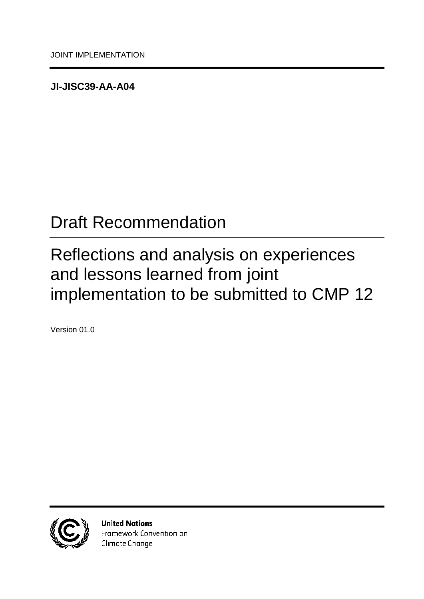<span id="page-0-0"></span>**JI-JISC39-AA-A04**

# <span id="page-0-1"></span>Draft Recommendation

# <span id="page-0-2"></span>Reflections and analysis on experiences and lessons learned from joint implementation to be submitted to CMP 12

<span id="page-0-3"></span>Version 01.0



**United Nations** Framework Convention on Climate Change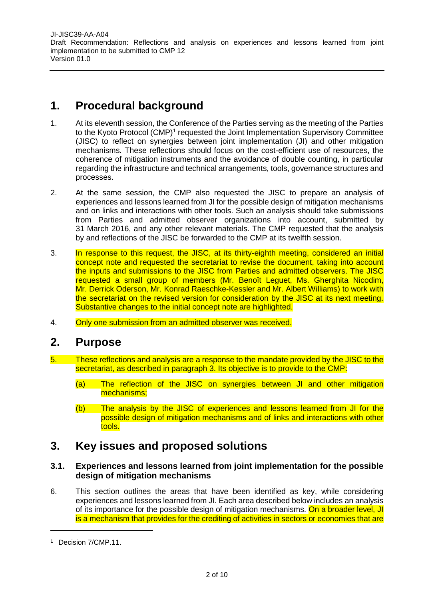[JI-JISC39-AA-A04](#page-0-0)  [Draft Recommendation:](#page-0-1) [Reflections and analysis on experiences and lessons learned from joint](#page-0-2)  implementation to [be submitted to](#page-0-2) CMP 12 [Version](#page-0-3) [01.0](#page-0-3)

# **1. Procedural background**

- 1. At its eleventh session, the Conference of the Parties serving as the meeting of the Parties to the Kyoto Protocol (CMP)<sup>1</sup> requested the Joint Implementation Supervisory Committee (JISC) to reflect on synergies between joint implementation (JI) and other mitigation mechanisms. These reflections should focus on the cost-efficient use of resources, the coherence of mitigation instruments and the avoidance of double counting, in particular regarding the infrastructure and technical arrangements, tools, governance structures and processes.
- 2. At the same session, the CMP also requested the JISC to prepare an analysis of experiences and lessons learned from JI for the possible design of mitigation mechanisms and on links and interactions with other tools. Such an analysis should take submissions from Parties and admitted observer organizations into account, submitted by 31 March 2016, and any other relevant materials. The CMP requested that the analysis by and reflections of the JISC be forwarded to the CMP at its twelfth session.
- 3. In response to this request, the JISC, at its thirty-eighth meeting, considered an initial concept note and requested the secretariat to revise the document, taking into account the inputs and submissions to the JISC from Parties and admitted observers. The JISC requested a small group of members (Mr. Benoît Leguet, Ms. Gherghita Nicodim, Mr. Derrick Oderson, Mr. Konrad Raeschke-Kessler and Mr. Albert Williams) to work with the secretariat on the revised version for consideration by the JISC at its next meeting. Substantive changes to the initial concept note are highlighted.
- 4. Only one submission from an admitted observer was received.

# **2. Purpose**

- 5. These reflections and analysis are a response to the mandate provided by the JISC to the secretariat, as described in paragraph 3. Its objective is to provide to the CMP:
	- (a) The reflection of the JISC on synergies between JI and other mitigation mechanisms;
	- (b) The analysis by the JISC of experiences and lessons learned from JI for the possible design of mitigation mechanisms and of links and interactions with other tools.

# **3. Key issues and proposed solutions**

# **3.1. Experiences and lessons learned from joint implementation for the possible design of mitigation mechanisms**

6. This section outlines the areas that have been identified as key, while considering experiences and lessons learned from JI. Each area described below includes an analysis of its importance for the possible design of mitigation mechanisms. On a broader level, JI is a mechanism that provides for the crediting of activities in sectors or economies that are

<sup>1</sup> Decision 7/CMP.11.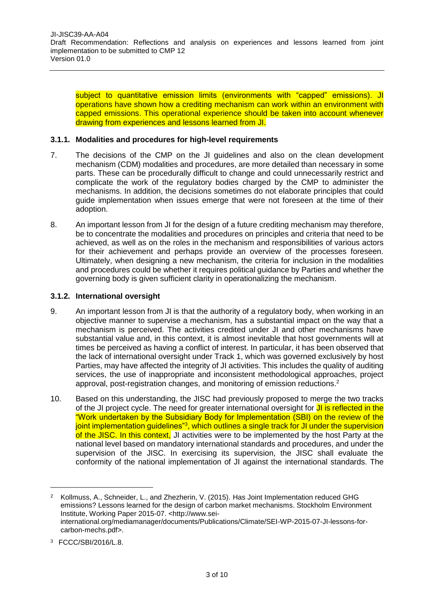subject to quantitative emission limits (environments with "capped" emissions). JI operations have shown how a crediting mechanism can work within an environment with capped emissions. This operational experience should be taken into account whenever drawing from experiences and lessons learned from JI.

### **3.1.1. Modalities and procedures for high-level requirements**

- 7. The decisions of the CMP on the JI guidelines and also on the clean development mechanism (CDM) modalities and procedures, are more detailed than necessary in some parts. These can be procedurally difficult to change and could unnecessarily restrict and complicate the work of the regulatory bodies charged by the CMP to administer the mechanisms. In addition, the decisions sometimes do not elaborate principles that could guide implementation when issues emerge that were not foreseen at the time of their adoption.
- 8. An important lesson from JI for the design of a future crediting mechanism may therefore, be to concentrate the modalities and procedures on principles and criteria that need to be achieved, as well as on the roles in the mechanism and responsibilities of various actors for their achievement and perhaps provide an overview of the processes foreseen. Ultimately, when designing a new mechanism, the criteria for inclusion in the modalities and procedures could be whether it requires political guidance by Parties and whether the governing body is given sufficient clarity in operationalizing the mechanism.

#### **3.1.2. International oversight**

- 9. An important lesson from JI is that the authority of a regulatory body, when working in an objective manner to supervise a mechanism, has a substantial impact on the way that a mechanism is perceived. The activities credited under JI and other mechanisms have substantial value and, in this context, it is almost inevitable that host governments will at times be perceived as having a conflict of interest. In particular, it has been observed that the lack of international oversight under Track 1, which was governed exclusively by host Parties, may have affected the integrity of JI activities. This includes the quality of auditing services, the use of inappropriate and inconsistent methodological approaches, project approval, post-registration changes, and monitoring of emission reductions.<sup>2</sup>
- 10. Based on this understanding, the JISC had previously proposed to merge the two tracks of the JI project cycle. The need for greater international oversight for JI is reflected in the "Work undertaken by the Subsidiary Body for Implementation (SBI) on the review of the joint implementation guidelines"<sup>3</sup>, which outlines a single track for JI under the supervision of the JISC. In this context, JI activities were to be implemented by the host Party at the national level based on mandatory international standards and procedures, and under the supervision of the JISC. In exercising its supervision, the JISC shall evaluate the conformity of the national implementation of JI against the international standards. The

 $\overline{a}$ 

<sup>&</sup>lt;sup>2</sup> Kollmuss, A., Schneider, L., and Zhezherin, V. (2015). Has Joint Implementation reduced GHG emissions? Lessons learned for the design of carbon market mechanisms. Stockholm Environment Institute, Working Paper 2015-07. <http://www.seiinternational.org/mediamanager/documents/Publications/Climate/SEI-WP-2015-07-JI-lessons-forcarbon-mechs.pdf>.

<sup>3</sup> FCCC/SBI/2016/L.8.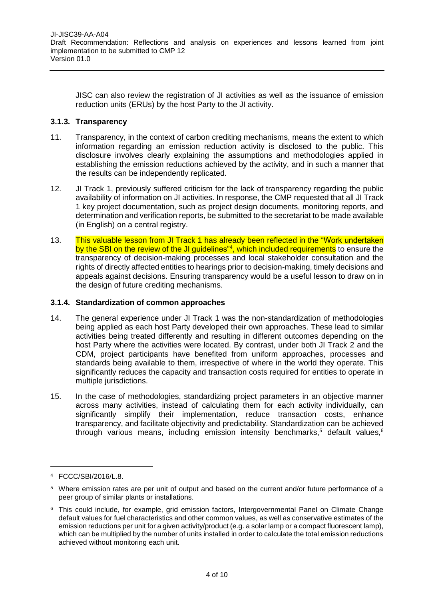JISC can also review the registration of JI activities as well as the issuance of emission reduction units (ERUs) by the host Party to the JI activity.

## **3.1.3. Transparency**

- 11. Transparency, in the context of carbon crediting mechanisms, means the extent to which information regarding an emission reduction activity is disclosed to the public. This disclosure involves clearly explaining the assumptions and methodologies applied in establishing the emission reductions achieved by the activity, and in such a manner that the results can be independently replicated.
- 12. JI Track 1, previously suffered criticism for the lack of transparency regarding the public availability of information on JI activities. In response, the CMP requested that all JI Track 1 key project documentation, such as project design documents, monitoring reports, and determination and verification reports, be submitted to the secretariat to be made available (in English) on a central registry.
- 13. This valuable lesson from JI Track 1 has already been reflected in the "Work undertaken by the SBI on the review of the JI guidelines"<sup>4</sup>, which included requirements to ensure the transparency of decision-making processes and local stakeholder consultation and the rights of directly affected entities to hearings prior to decision-making, timely decisions and appeals against decisions. Ensuring transparency would be a useful lesson to draw on in the design of future crediting mechanisms.

## **3.1.4. Standardization of common approaches**

- 14. The general experience under JI Track 1 was the non-standardization of methodologies being applied as each host Party developed their own approaches. These lead to similar activities being treated differently and resulting in different outcomes depending on the host Party where the activities were located. By contrast, under both JI Track 2 and the CDM, project participants have benefited from uniform approaches, processes and standards being available to them, irrespective of where in the world they operate. This significantly reduces the capacity and transaction costs required for entities to operate in multiple jurisdictions.
- 15. In the case of methodologies, standardizing project parameters in an objective manner across many activities, instead of calculating them for each activity individually, can significantly simplify their implementation, reduce transaction costs, enhance transparency, and facilitate objectivity and predictability. Standardization can be achieved through various means, including emission intensity benchmarks,<sup>5</sup> default values,<sup>6</sup>

 $\overline{a}$ 

<sup>4</sup> FCCC/SBI/2016/L.8.

<sup>5</sup> Where emission rates are per unit of output and based on the current and/or future performance of a peer group of similar plants or installations.

<sup>&</sup>lt;sup>6</sup> This could include, for example, grid emission factors, Intergovernmental Panel on Climate Change default values for fuel characteristics and other common values, as well as conservative estimates of the emission reductions per unit for a given activity/product (e.g. a solar lamp or a compact fluorescent lamp), which can be multiplied by the number of units installed in order to calculate the total emission reductions achieved without monitoring each unit.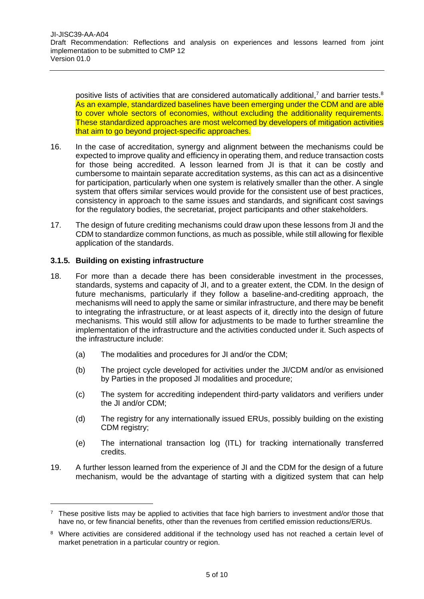positive lists of activities that are considered automatically additional,<sup>7</sup> and barrier tests.<sup>8</sup> As an example, standardized baselines have been emerging under the CDM and are able to cover whole sectors of economies, without excluding the additionality requirements. These standardized approaches are most welcomed by developers of mitigation activities that aim to go beyond project-specific approaches.

- 16. In the case of accreditation, synergy and alignment between the mechanisms could be expected to improve quality and efficiency in operating them, and reduce transaction costs for those being accredited. A lesson learned from JI is that it can be costly and cumbersome to maintain separate accreditation systems, as this can act as a disincentive for participation, particularly when one system is relatively smaller than the other. A single system that offers similar services would provide for the consistent use of best practices, consistency in approach to the same issues and standards, and significant cost savings for the regulatory bodies, the secretariat, project participants and other stakeholders.
- 17. The design of future crediting mechanisms could draw upon these lessons from JI and the CDM to standardize common functions, as much as possible, while still allowing for flexible application of the standards.

# **3.1.5. Building on existing infrastructure**

- 18. For more than a decade there has been considerable investment in the processes, standards, systems and capacity of JI, and to a greater extent, the CDM. In the design of future mechanisms, particularly if they follow a baseline-and-crediting approach, the mechanisms will need to apply the same or similar infrastructure, and there may be benefit to integrating the infrastructure, or at least aspects of it, directly into the design of future mechanisms. This would still allow for adjustments to be made to further streamline the implementation of the infrastructure and the activities conducted under it. Such aspects of the infrastructure include:
	- (a) The modalities and procedures for JI and/or the CDM;
	- (b) The project cycle developed for activities under the JI/CDM and/or as envisioned by Parties in the proposed JI modalities and procedure;
	- (c) The system for accrediting independent third-party validators and verifiers under the JI and/or CDM;
	- (d) The registry for any internationally issued ERUs, possibly building on the existing CDM registry;
	- (e) The international transaction log (ITL) for tracking internationally transferred credits.
- 19. A further lesson learned from the experience of JI and the CDM for the design of a future mechanism, would be the advantage of starting with a digitized system that can help

 $<sup>7</sup>$  These positive lists may be applied to activities that face high barriers to investment and/or those that</sup> have no, or few financial benefits, other than the revenues from certified emission reductions/ERUs.

<sup>&</sup>lt;sup>8</sup> Where activities are considered additional if the technology used has not reached a certain level of market penetration in a particular country or region.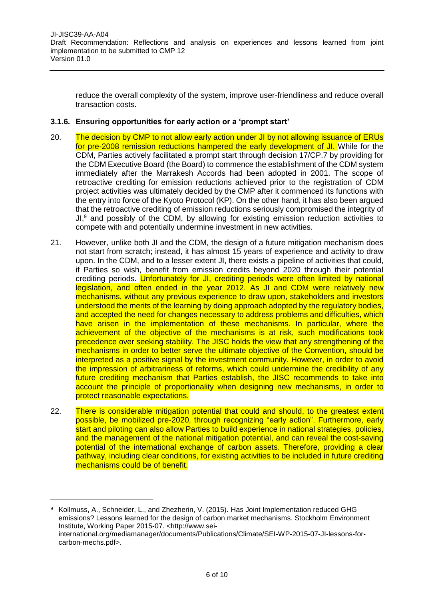reduce the overall complexity of the system, improve user-friendliness and reduce overall transaction costs.

### **3.1.6. Ensuring opportunities for early action or a 'prompt start'**

- 20. The decision by CMP to not allow early action under JI by not allowing issuance of ERUs for pre-2008 remission reductions hampered the early development of JI. While for the CDM, Parties actively facilitated a prompt start through decision 17/CP.7 by providing for the CDM Executive Board (the Board) to commence the establishment of the CDM system immediately after the Marrakesh Accords had been adopted in 2001. The scope of retroactive crediting for emission reductions achieved prior to the registration of CDM project activities was ultimately decided by the CMP after it commenced its functions with the entry into force of the Kyoto Protocol (KP). On the other hand, it has also been argued that the retroactive crediting of emission reductions seriously compromised the integrity of JI, $9$  and possibly of the CDM, by allowing for existing emission reduction activities to compete with and potentially undermine investment in new activities.
- 21. However, unlike both JI and the CDM, the design of a future mitigation mechanism does not start from scratch; instead, it has almost 15 years of experience and activity to draw upon. In the CDM, and to a lesser extent JI, there exists a pipeline of activities that could, if Parties so wish, benefit from emission credits beyond 2020 through their potential crediting periods. Unfortunately for JI, crediting periods were often limited by national legislation, and often ended in the year 2012. As JI and CDM were relatively new mechanisms, without any previous experience to draw upon, stakeholders and investors understood the merits of the learning by doing approach adopted by the regulatory bodies, and accepted the need for changes necessary to address problems and difficulties, which have arisen in the implementation of these mechanisms. In particular, where the achievement of the objective of the mechanisms is at risk, such modifications took precedence over seeking stability. The JISC holds the view that any strengthening of the mechanisms in order to better serve the ultimate objective of the Convention, should be interpreted as a positive signal by the investment community. However, in order to avoid the impression of arbitrariness of reforms, which could undermine the credibility of any future crediting mechanism that Parties establish, the JISC recommends to take into account the principle of proportionality when designing new mechanisms, in order to protect reasonable expectations.
- 22. There is considerable mitigation potential that could and should, to the greatest extent possible, be mobilized pre-2020, through recognizing "early action". Furthermore, early start and piloting can also allow Parties to build experience in national strategies, policies, and the management of the national mitigation potential, and can reveal the cost-saving potential of the international exchange of carbon assets. Therefore, providing a clear pathway, including clear conditions, for existing activities to be included in future crediting mechanisms could be of benefit.

 $\overline{a}$ 

<sup>9</sup> Kollmuss, A., Schneider, L., and Zhezherin, V. (2015). Has Joint Implementation reduced GHG emissions? Lessons learned for the design of carbon market mechanisms. Stockholm Environment Institute, Working Paper 2015-07. <http://www.seiinternational.org/mediamanager/documents/Publications/Climate/SEI-WP-2015-07-JI-lessons-forcarbon-mechs.pdf>.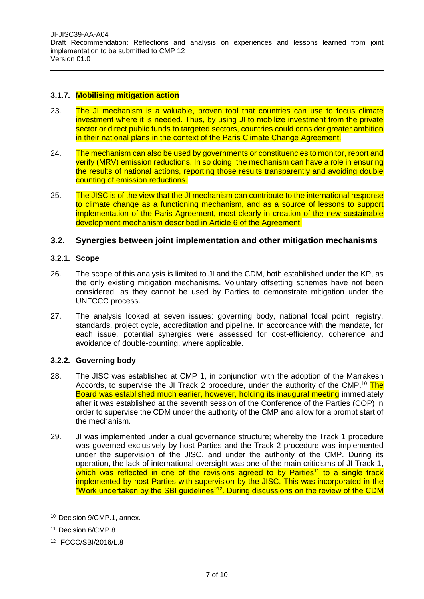[JI-JISC39-AA-A04](#page-0-0)  [Draft Recommendation:](#page-0-1) [Reflections and analysis on experiences and lessons learned from joint](#page-0-2)  implementation to [be submitted to](#page-0-2) CMP 12 [Version](#page-0-3) [01.0](#page-0-3)

## **3.1.7. Mobilising mitigation action**

- 23. The JI mechanism is a valuable, proven tool that countries can use to focus climate investment where it is needed. Thus, by using JI to mobilize investment from the private sector or direct public funds to targeted sectors, countries could consider greater ambition in their national plans in the context of the Paris Climate Change Agreement.
- 24. The mechanism can also be used by governments or constituencies to monitor, report and verify (MRV) emission reductions. In so doing, the mechanism can have a role in ensuring the results of national actions, reporting those results transparently and avoiding double counting of emission reductions.
- 25. The JISC is of the view that the JI mechanism can contribute to the international response to climate change as a functioning mechanism, and as a source of lessons to support implementation of the Paris Agreement, most clearly in creation of the new sustainable development mechanism described in Article 6 of the Agreement.

# **3.2. Synergies between joint implementation and other mitigation mechanisms**

#### **3.2.1. Scope**

- 26. The scope of this analysis is limited to JI and the CDM, both established under the KP, as the only existing mitigation mechanisms. Voluntary offsetting schemes have not been considered, as they cannot be used by Parties to demonstrate mitigation under the UNFCCC process.
- 27. The analysis looked at seven issues: governing body, national focal point, registry, standards, project cycle, accreditation and pipeline. In accordance with the mandate, for each issue, potential synergies were assessed for cost-efficiency, coherence and avoidance of double-counting, where applicable.

## **3.2.2. Governing body**

- 28. The JISC was established at CMP 1, in conjunction with the adoption of the Marrakesh Accords, to supervise the JI Track 2 procedure, under the authority of the CMP.<sup>10</sup> The Board was established much earlier, however, holding its inaugural meeting immediately after it was established at the seventh session of the Conference of the Parties (COP) in order to supervise the CDM under the authority of the CMP and allow for a prompt start of the mechanism.
- 29. JI was implemented under a dual governance structure; whereby the Track 1 procedure was governed exclusively by host Parties and the Track 2 procedure was implemented under the supervision of the JISC, and under the authority of the CMP. During its operation, the lack of international oversight was one of the main criticisms of JI Track 1, which was reflected in one of the revisions agreed to by Parties<sup>11</sup> to a single track implemented by host Parties with supervision by the JISC. This was incorporated in the "Work undertaken by the SBI guidelines"<sup>12</sup>. During discussions on the review of the CDM

<sup>10</sup> Decision 9/CMP.1, annex.

<sup>11</sup> Decision 6/CMP.8.

<sup>12</sup> FCCC/SBI/2016/L.8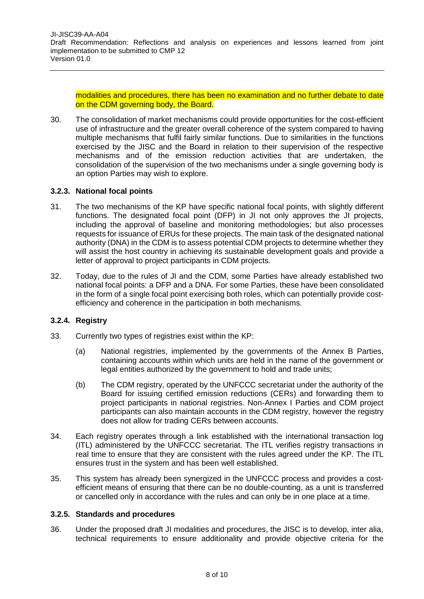modalities and procedures, there has been no examination and no further debate to date on the CDM governing body, the Board.

30. The consolidation of market mechanisms could provide opportunities for the cost-efficient use of infrastructure and the greater overall coherence of the system compared to having multiple mechanisms that fulfil fairly similar functions. Due to similarities in the functions exercised by the JISC and the Board in relation to their supervision of the respective mechanisms and of the emission reduction activities that are undertaken, the consolidation of the supervision of the two mechanisms under a single governing body is an option Parties may wish to explore.

#### **3.2.3. National focal points**

- 31. The two mechanisms of the KP have specific national focal points, with slightly different functions. The designated focal point (DFP) in JI not only approves the JI projects, including the approval of baseline and monitoring methodologies; but also processes requests for issuance of ERUs for these projects. The main task of the designated national authority (DNA) in the CDM is to assess potential CDM projects to determine whether they will assist the host country in achieving its sustainable development goals and provide a letter of approval to project participants in CDM projects.
- 32. Today, due to the rules of JI and the CDM, some Parties have already established two national focal points: a DFP and a DNA. For some Parties, these have been consolidated in the form of a single focal point exercising both roles, which can potentially provide costefficiency and coherence in the participation in both mechanisms.

### **3.2.4. Registry**

- 33. Currently two types of registries exist within the KP:
	- (a) National registries, implemented by the governments of the Annex B Parties, containing accounts within which units are held in the name of the government or legal entities authorized by the government to hold and trade units;
	- (b) The CDM registry, operated by the UNFCCC secretariat under the authority of the Board for issuing certified emission reductions (CERs) and forwarding them to project participants in national registries. Non-Annex I Parties and CDM project participants can also maintain accounts in the CDM registry, however the registry does not allow for trading CERs between accounts.
- 34. Each registry operates through a link established with the international transaction log (ITL) administered by the UNFCCC secretariat. The ITL verifies registry transactions in real time to ensure that they are consistent with the rules agreed under the KP. The ITL ensures trust in the system and has been well established.
- 35. This system has already been synergized in the UNFCCC process and provides a costefficient means of ensuring that there can be no double-counting, as a unit is transferred or cancelled only in accordance with the rules and can only be in one place at a time.

#### **3.2.5. Standards and procedures**

36. Under the proposed draft JI modalities and procedures, the JISC is to develop, inter alia, technical requirements to ensure additionality and provide objective criteria for the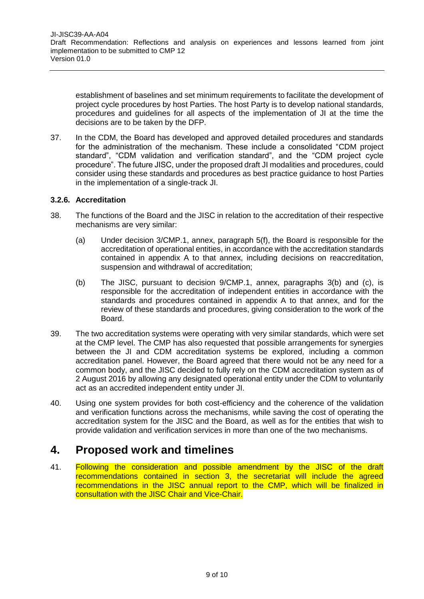establishment of baselines and set minimum requirements to facilitate the development of project cycle procedures by host Parties. The host Party is to develop national standards, procedures and guidelines for all aspects of the implementation of JI at the time the decisions are to be taken by the DFP.

37. In the CDM, the Board has developed and approved detailed procedures and standards for the administration of the mechanism. These include a consolidated "CDM project standard", "CDM validation and verification standard", and the "CDM project cycle procedure". The future JISC, under the proposed draft JI modalities and procedures, could consider using these standards and procedures as best practice guidance to host Parties in the implementation of a single-track JI.

#### **3.2.6. Accreditation**

- 38. The functions of the Board and the JISC in relation to the accreditation of their respective mechanisms are very similar:
	- (a) Under decision 3/CMP.1, annex, paragraph 5(f), the Board is responsible for the accreditation of operational entities, in accordance with the accreditation standards contained in appendix A to that annex, including decisions on reaccreditation, suspension and withdrawal of accreditation;
	- (b) The JISC, pursuant to decision 9/CMP.1, annex, paragraphs 3(b) and (c), is responsible for the accreditation of independent entities in accordance with the standards and procedures contained in appendix A to that annex, and for the review of these standards and procedures, giving consideration to the work of the Board.
- 39. The two accreditation systems were operating with very similar standards, which were set at the CMP level. The CMP has also requested that possible arrangements for synergies between the JI and CDM accreditation systems be explored, including a common accreditation panel. However, the Board agreed that there would not be any need for a common body, and the JISC decided to fully rely on the CDM accreditation system as of 2 August 2016 by allowing any designated operational entity under the CDM to voluntarily act as an accredited independent entity under JI.
- 40. Using one system provides for both cost-efficiency and the coherence of the validation and verification functions across the mechanisms, while saving the cost of operating the accreditation system for the JISC and the Board, as well as for the entities that wish to provide validation and verification services in more than one of the two mechanisms.

# **4. Proposed work and timelines**

41. Following the consideration and possible amendment by the JISC of the draft recommendations contained in section 3, the secretariat will include the agreed recommendations in the JISC annual report to the CMP, which will be finalized in consultation with the JISC Chair and Vice-Chair.